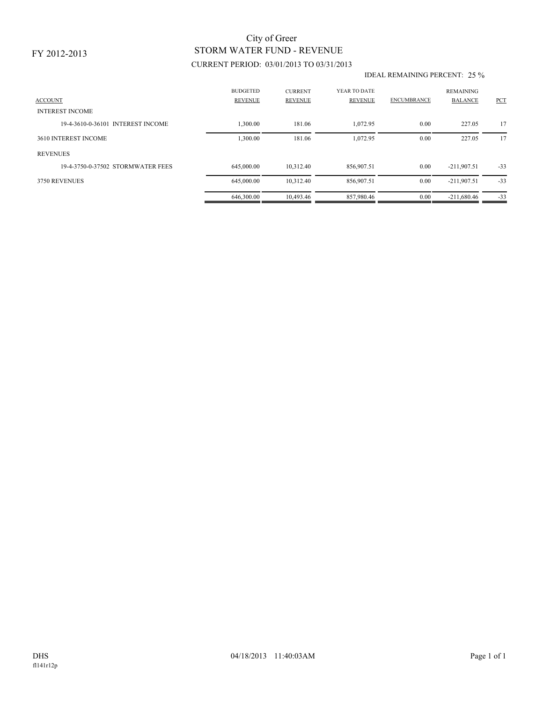## CURRENT PERIOD: 03/01/2013 TO 03/31/2013 STORM WATER FUND - REVENUE City of Greer

## IDEAL REMAINING PERCENT: 25 %

| <b>ACCOUNT</b><br><b>INTEREST INCOME</b> | <b>BUDGETED</b><br><b>REVENUE</b> | <b>CURRENT</b><br><b>REVENUE</b> | YEAR TO DATE<br><b>REVENUE</b> | <b>ENCUMBRANCE</b> | <b>REMAINING</b><br><b>BALANCE</b> | <b>PCT</b> |
|------------------------------------------|-----------------------------------|----------------------------------|--------------------------------|--------------------|------------------------------------|------------|
| 19-4-3610-0-36101 INTEREST INCOME        | .300.00                           | 181.06                           | 1,072.95                       | 0.00               | 227.05                             | 17         |
| 3610 INTEREST INCOME                     | 1,300.00                          | 181.06                           | 1.072.95                       | 0.00               | 227.05                             | 17         |
| <b>REVENUES</b>                          |                                   |                                  |                                |                    |                                    |            |
| 19-4-3750-0-37502 STORMWATER FEES        | 645,000.00                        | 10,312.40                        | 856,907.51                     | 0.00               | $-211,907.51$                      | $-33$      |
| 3750 REVENUES                            | 645,000.00                        | 10,312.40                        | 856,907.51                     | 0.00               | $-211,907.51$                      | $-33$      |
|                                          | 646,300.00                        | 10,493.46                        | 857,980.46                     | 0.00               | $-211,680.46$                      | $-33$      |